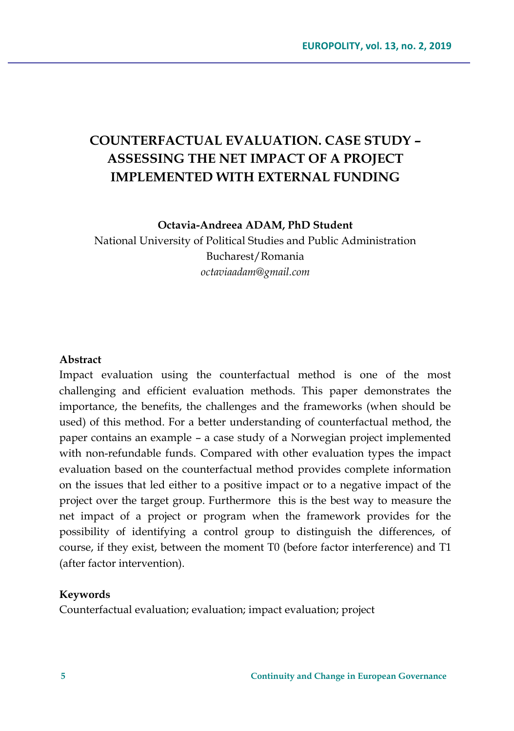# **COUNTERFACTUAL EVALUATION. CASE STUDY – ASSESSING THE NET IMPACT OF A PROJECT IMPLEMENTED WITH EXTERNAL FUNDING**

**Octavia-Andreea ADAM, PhD Student**

National University of Political Studies and Public Administration Bucharest/Romania *octaviaadam@gmail.com*

#### **Abstract**

Impact evaluation using the counterfactual method is one of the most challenging and efficient evaluation methods. This paper demonstrates the importance, the benefits, the challenges and the frameworks (when should be used) of this method. For a better understanding of counterfactual method, the paper contains an example – a case study of a Norwegian project implemented with non-refundable funds. Compared with other evaluation types the impact evaluation based on the counterfactual method provides complete information on the issues that led either to a positive impact or to a negative impact of the project over the target group. Furthermore this is the best way to measure the net impact of a project or program when the framework provides for the possibility of identifying a control group to distinguish the differences, of course, if they exist, between the moment T0 (before factor interference) and T1 (after factor intervention).

#### **Keywords**

Counterfactual evaluation; evaluation; impact evaluation; project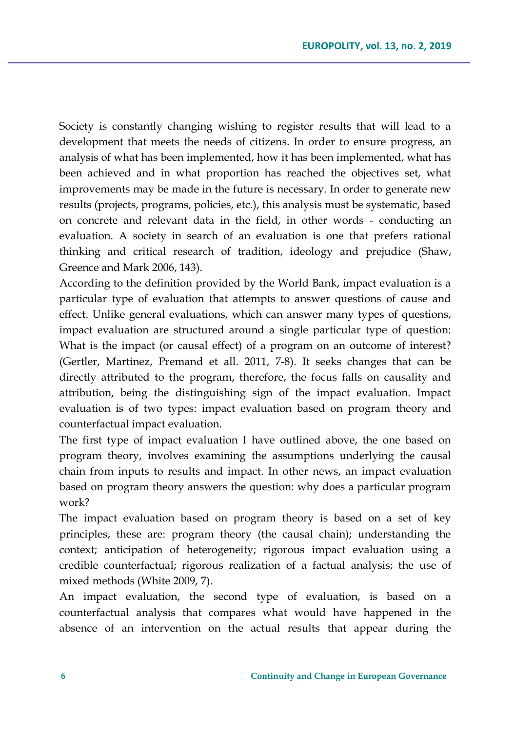Society is constantly changing wishing to register results that will lead to a development that meets the needs of citizens. In order to ensure progress, an analysis of what has been implemented, how it has been implemented, what has been achieved and in what proportion has reached the objectives set, what improvements may be made in the future is necessary. In order to generate new results (projects, programs, policies, etc.), this analysis must be systematic, based on concrete and relevant data in the field, in other words - conducting an evaluation. A society in search of an evaluation is one that prefers rational thinking and critical research of tradition, ideology and prejudice (Shaw, Greence and Mark 2006, 143).

According to the definition provided by the World Bank, impact evaluation is a particular type of evaluation that attempts to answer questions of cause and effect. Unlike general evaluations, which can answer many types of questions, impact evaluation are structured around a single particular type of question: What is the impact (or causal effect) of a program on an outcome of interest? (Gertler, Martinez, Premand et all. 2011, 7-8). It seeks changes that can be directly attributed to the program, therefore, the focus falls on causality and attribution, being the distinguishing sign of the impact evaluation. Impact evaluation is of two types: impact evaluation based on program theory and counterfactual impact evaluation.

The first type of impact evaluation I have outlined above, the one based on program theory, involves examining the assumptions underlying the causal chain from inputs to results and impact. In other news, an impact evaluation based on program theory answers the question: why does a particular program work?

The impact evaluation based on program theory is based on a set of key principles, these are: program theory (the causal chain); understanding the context; anticipation of heterogeneity; rigorous impact evaluation using a credible counterfactual; rigorous realization of a factual analysis; the use of mixed methods (White 2009, 7).

An impact evaluation, the second type of evaluation, is based on a counterfactual analysis that compares what would have happened in the absence of an intervention on the actual results that appear during the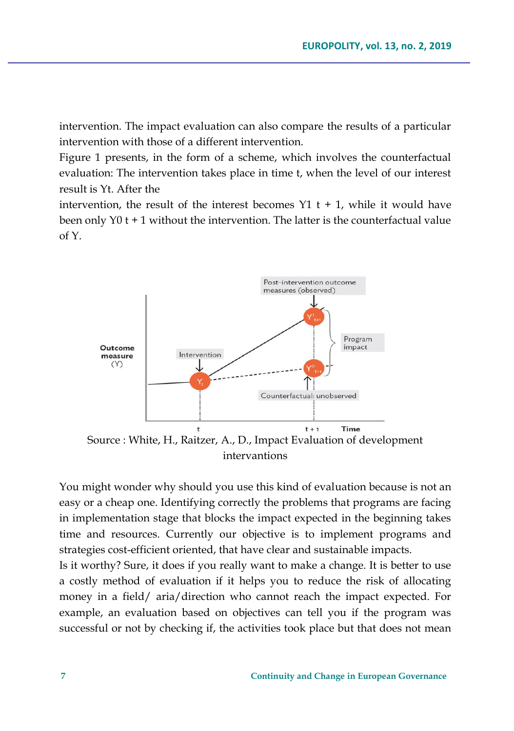intervention. The impact evaluation can also compare the results of a particular intervention with those of a different intervention.

Figure 1 presents, in the form of a scheme, which involves the counterfactual evaluation: The intervention takes place in time t, when the level of our interest result is Yt. After the

intervention, the result of the interest becomes  $Y1$  t + 1, while it would have been only  $Y0$  t + 1 without the intervention. The latter is the counterfactual value of Y.



You might wonder why should you use this kind of evaluation because is not an easy or a cheap one. Identifying correctly the problems that programs are facing in implementation stage that blocks the impact expected in the beginning takes time and resources. Currently our objective is to implement programs and strategies cost-efficient oriented, that have clear and sustainable impacts.

Is it worthy? Sure, it does if you really want to make a change. It is better to use a costly method of evaluation if it helps you to reduce the risk of allocating money in a field/ aria/direction who cannot reach the impact expected. For example, an evaluation based on objectives can tell you if the program was successful or not by checking if, the activities took place but that does not mean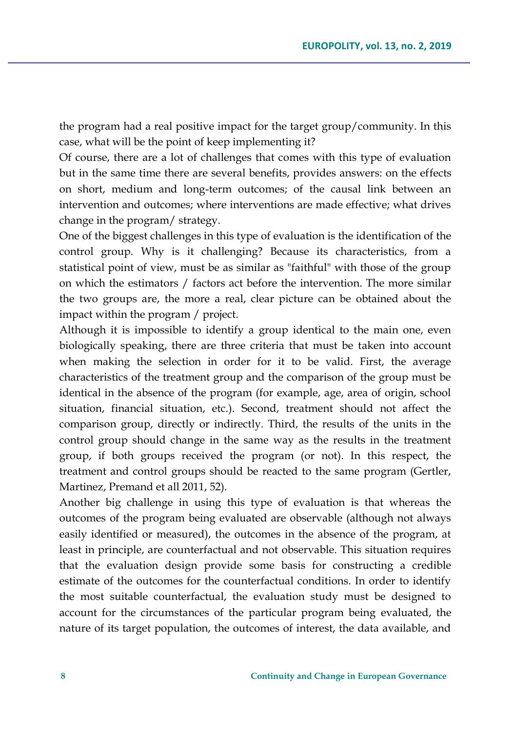the program had a real positive impact for the target group/community. In this case, what will be the point of keep implementing it?

Of course, there are a lot of challenges that comes with this type of evaluation but in the same time there are several benefits, provides answers: on the effects on short, medium and long-term outcomes; of the causal link between an intervention and outcomes; where interventions are made effective; what drives change in the program/ strategy.

One of the biggest challenges in this type of evaluation is the identification of the control group. Why is it challenging? Because its characteristics, from a statistical point of view, must be as similar as "faithful" with those of the group on which the estimators / factors act before the intervention. The more similar the two groups are, the more a real, clear picture can be obtained about the impact within the program / project.

Although it is impossible to identify a group identical to the main one, even biologically speaking, there are three criteria that must be taken into account when making the selection in order for it to be valid. First, the average characteristics of the treatment group and the comparison of the group must be identical in the absence of the program (for example, age, area of origin, school situation, financial situation, etc.). Second, treatment should not affect the comparison group, directly or indirectly. Third, the results of the units in the control group should change in the same way as the results in the treatment group, if both groups received the program (or not). In this respect, the treatment and control groups should be reacted to the same program (Gertler, Martinez, Premand et all 2011, 52).

Another big challenge in using this type of evaluation is that whereas the outcomes of the program being evaluated are observable (although not always easily identified or measured), the outcomes in the absence of the program, at least in principle, are counterfactual and not observable. This situation requires that the evaluation design provide some basis for constructing a credible estimate of the outcomes for the counterfactual conditions. In order to identify the most suitable counterfactual, the evaluation study must be designed to account for the circumstances of the particular program being evaluated, the nature of its target population, the outcomes of interest, the data available, and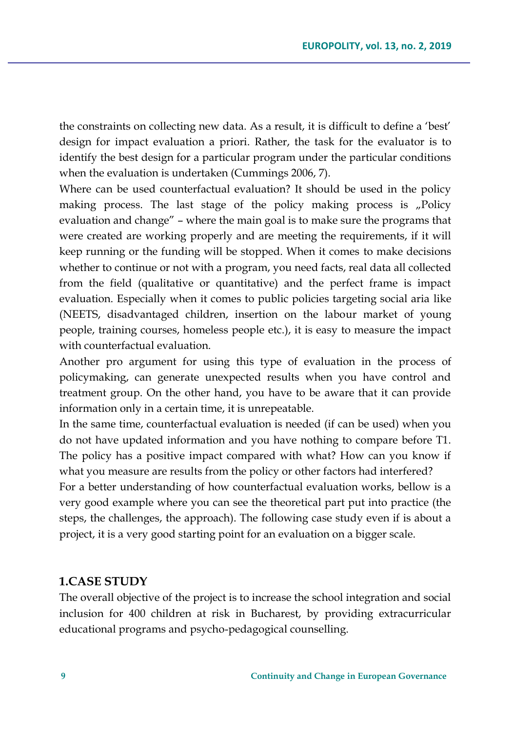the constraints on collecting new data. As a result, it is difficult to define a 'best' design for impact evaluation a priori. Rather, the task for the evaluator is to identify the best design for a particular program under the particular conditions when the evaluation is undertaken (Cummings 2006, 7).

Where can be used counterfactual evaluation? It should be used in the policy making process. The last stage of the policy making process is "Policy evaluation and change" – where the main goal is to make sure the programs that were created are working properly and are meeting the requirements, if it will keep running or the funding will be stopped. When it comes to make decisions whether to continue or not with a program, you need facts, real data all collected from the field (qualitative or quantitative) and the perfect frame is impact evaluation. Especially when it comes to public policies targeting social aria like (NEETS, disadvantaged children, insertion on the labour market of young people, training courses, homeless people etc.), it is easy to measure the impact with counterfactual evaluation.

Another pro argument for using this type of evaluation in the process of policymaking, can generate unexpected results when you have control and treatment group. On the other hand, you have to be aware that it can provide information only in a certain time, it is unrepeatable.

In the same time, counterfactual evaluation is needed (if can be used) when you do not have updated information and you have nothing to compare before T1. The policy has a positive impact compared with what? How can you know if what you measure are results from the policy or other factors had interfered?

For a better understanding of how counterfactual evaluation works, bellow is a very good example where you can see the theoretical part put into practice (the steps, the challenges, the approach). The following case study even if is about a project, it is a very good starting point for an evaluation on a bigger scale.

#### **1.CASE STUDY**

The overall objective of the project is to increase the school integration and social inclusion for 400 children at risk in Bucharest, by providing extracurricular educational programs and psycho-pedagogical counselling.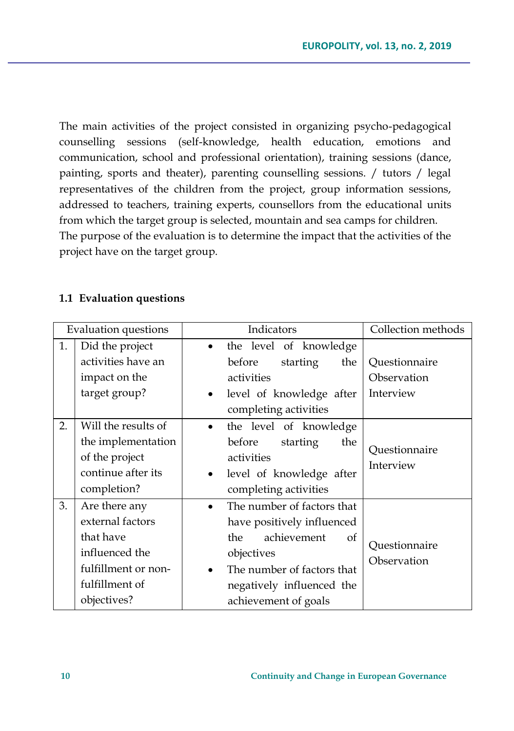The main activities of the project consisted in organizing psycho-pedagogical counselling sessions (self-knowledge, health education, emotions and communication, school and professional orientation), training sessions (dance, painting, sports and theater), parenting counselling sessions. / tutors / legal representatives of the children from the project, group information sessions, addressed to teachers, training experts, counsellors from the educational units from which the target group is selected, mountain and sea camps for children. The purpose of the evaluation is to determine the impact that the activities of the project have on the target group.

### **1.1 Evaluation questions**

| <b>Evaluation questions</b> |                     | Indicators                              | Collection methods           |
|-----------------------------|---------------------|-----------------------------------------|------------------------------|
| 1.                          | Did the project     | the level of knowledge                  |                              |
|                             | activities have an  | before<br>starting<br>the               | Questionnaire                |
|                             | impact on the       | activities                              | Observation                  |
|                             | target group?       | level of knowledge after<br>$\bullet$   | Interview                    |
|                             |                     | completing activities                   |                              |
| 2.                          | Will the results of | the level of knowledge<br>$\bullet$     |                              |
|                             | the implementation  | before<br>starting<br>the               | Questionnaire                |
|                             | of the project      | activities                              | Interview                    |
|                             | continue after its  | level of knowledge after<br>$\bullet$   |                              |
|                             | completion?         | completing activities                   |                              |
| 3.                          | Are there any       | The number of factors that<br>$\bullet$ |                              |
|                             | external factors    | have positively influenced              |                              |
|                             | that have           | achievement<br>the<br>οf                |                              |
|                             | influenced the      | objectives                              | Questionnaire<br>Observation |
|                             | fulfillment or non- | The number of factors that              |                              |
|                             | fulfillment of      | negatively influenced the               |                              |
|                             | objectives?         | achievement of goals                    |                              |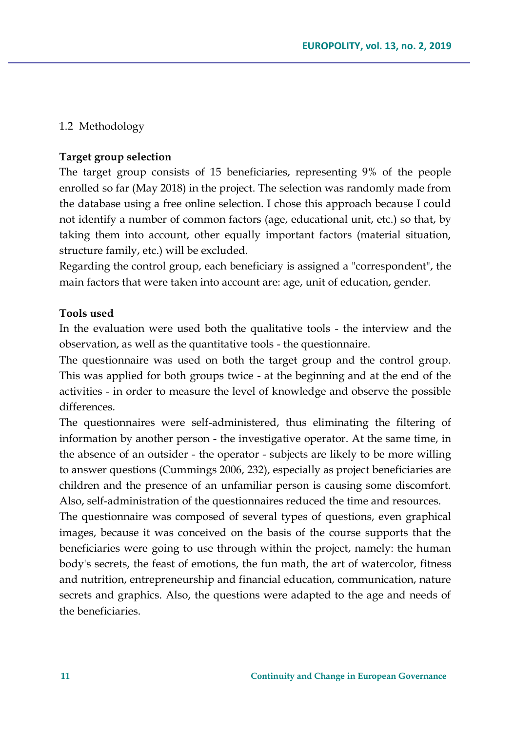## 1.2 Methodology

#### **Target group selection**

The target group consists of 15 beneficiaries, representing 9% of the people enrolled so far (May 2018) in the project. The selection was randomly made from the database using a free online selection. I chose this approach because I could not identify a number of common factors (age, educational unit, etc.) so that, by taking them into account, other equally important factors (material situation, structure family, etc.) will be excluded.

Regarding the control group, each beneficiary is assigned a "correspondent", the main factors that were taken into account are: age, unit of education, gender.

#### **Tools used**

In the evaluation were used both the qualitative tools - the interview and the observation, as well as the quantitative tools - the questionnaire.

The questionnaire was used on both the target group and the control group. This was applied for both groups twice - at the beginning and at the end of the activities - in order to measure the level of knowledge and observe the possible differences.

The questionnaires were self-administered, thus eliminating the filtering of information by another person - the investigative operator. At the same time, in the absence of an outsider - the operator - subjects are likely to be more willing to answer questions (Cummings 2006, 232), especially as project beneficiaries are children and the presence of an unfamiliar person is causing some discomfort. Also, self-administration of the questionnaires reduced the time and resources.

The questionnaire was composed of several types of questions, even graphical images, because it was conceived on the basis of the course supports that the beneficiaries were going to use through within the project, namely: the human body's secrets, the feast of emotions, the fun math, the art of watercolor, fitness and nutrition, entrepreneurship and financial education, communication, nature secrets and graphics. Also, the questions were adapted to the age and needs of the beneficiaries.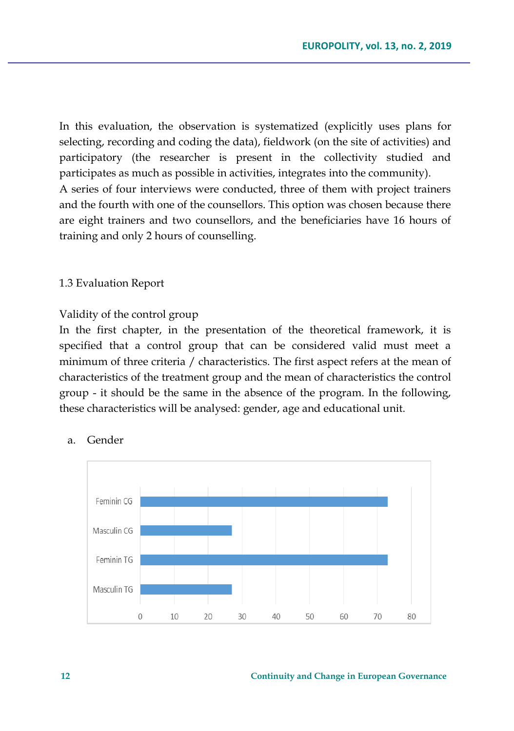In this evaluation, the observation is systematized (explicitly uses plans for selecting, recording and coding the data), fieldwork (on the site of activities) and participatory (the researcher is present in the collectivity studied and participates as much as possible in activities, integrates into the community). A series of four interviews were conducted, three of them with project trainers and the fourth with one of the counsellors. This option was chosen because there are eight trainers and two counsellors, and the beneficiaries have 16 hours of training and only 2 hours of counselling.

#### 1.3 Evaluation Report

#### Validity of the control group

In the first chapter, in the presentation of the theoretical framework, it is specified that a control group that can be considered valid must meet a minimum of three criteria / characteristics. The first aspect refers at the mean of characteristics of the treatment group and the mean of characteristics the control group - it should be the same in the absence of the program. In the following, these characteristics will be analysed: gender, age and educational unit.



## a. Gender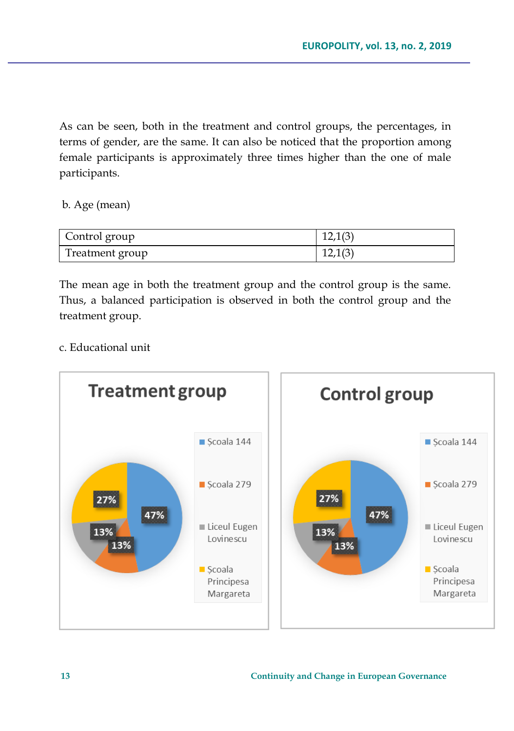As can be seen, both in the treatment and control groups, the percentages, in terms of gender, are the same. It can also be noticed that the proportion among female participants is approximately three times higher than the one of male participants.

b. Age (mean)

| Control group   | 12,1(3) |
|-----------------|---------|
| Treatment group | 12,1(3) |

The mean age in both the treatment group and the control group is the same. Thus, a balanced participation is observed in both the control group and the treatment group.

c. Educational unit

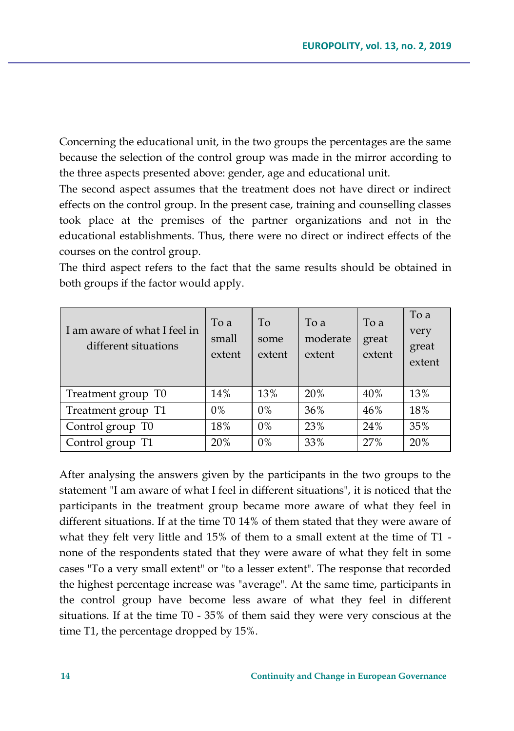Concerning the educational unit, in the two groups the percentages are the same because the selection of the control group was made in the mirror according to the three aspects presented above: gender, age and educational unit.

The second aspect assumes that the treatment does not have direct or indirect effects on the control group. In the present case, training and counselling classes took place at the premises of the partner organizations and not in the educational establishments. Thus, there were no direct or indirect effects of the courses on the control group.

The third aspect refers to the fact that the same results should be obtained in both groups if the factor would apply.

| I am aware of what I feel in<br>different situations | To a<br>small<br>extent | To<br>some<br>extent | To a<br>moderate<br>extent | To a<br>great<br>extent | To a<br>very<br>great<br>extent |
|------------------------------------------------------|-------------------------|----------------------|----------------------------|-------------------------|---------------------------------|
| Treatment group T0                                   | 14%                     | 13%                  | 20%                        | 40%                     | 13%                             |
| Treatment group T1                                   | $0\%$                   | $0\%$                | 36%                        | 46%                     | 18%                             |
| Control group T0                                     | 18%                     | $0\%$                | 23%                        | 24%                     | 35%                             |
| Control group T1                                     | 20%                     | $0\%$                | 33%                        | 27%                     | 20%                             |

After analysing the answers given by the participants in the two groups to the statement "I am aware of what I feel in different situations", it is noticed that the participants in the treatment group became more aware of what they feel in different situations. If at the time T0 14% of them stated that they were aware of what they felt very little and 15% of them to a small extent at the time of T1 none of the respondents stated that they were aware of what they felt in some cases "To a very small extent" or "to a lesser extent". The response that recorded the highest percentage increase was "average". At the same time, participants in the control group have become less aware of what they feel in different situations. If at the time T0 - 35% of them said they were very conscious at the time T1, the percentage dropped by 15%.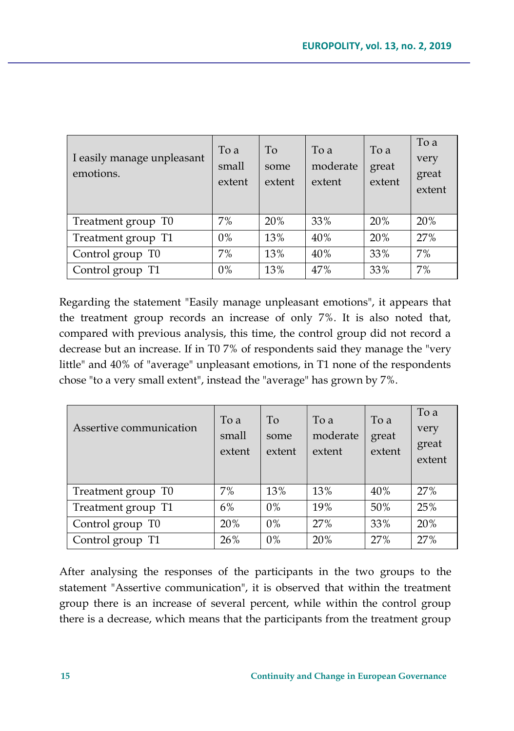| I easily manage unpleasant<br>emotions. | To a<br>small<br>extent | To<br>some<br>extent | To a<br>moderate<br>extent | To a<br>great<br>extent | To a<br>very<br>great<br>extent |
|-----------------------------------------|-------------------------|----------------------|----------------------------|-------------------------|---------------------------------|
| Treatment group T0                      | $7\%$                   | 20%                  | 33%                        | 20%                     | 20%                             |
| Treatment group T1                      | $0\%$                   | 13%                  | 40%                        | 20%                     | 27%                             |
| Control group T0                        | 7%                      | 13%                  | 40%                        | 33%                     | 7%                              |
| Control group T1                        | $0\%$                   | 13%                  | 47%                        | 33%                     | 7%                              |

Regarding the statement "Easily manage unpleasant emotions", it appears that the treatment group records an increase of only 7%. It is also noted that, compared with previous analysis, this time, the control group did not record a decrease but an increase. If in T0 7% of respondents said they manage the "very little" and 40% of "average" unpleasant emotions, in T1 none of the respondents chose "to a very small extent", instead the "average" has grown by 7%.

| Assertive communication | To a<br>small<br>extent | To<br>some<br>extent | To a<br>moderate<br>extent | To a<br>great<br>extent | To a<br>very<br>great<br>extent |
|-------------------------|-------------------------|----------------------|----------------------------|-------------------------|---------------------------------|
| Treatment group T0      | 7%                      | 13%                  | 13%                        | 40%                     | 27%                             |
| Treatment group T1      | 6%                      | $0\%$                | 19%                        | 50%                     | 25%                             |
| Control group T0        | 20%                     | $0\%$                | 27%                        | 33%                     | 20%                             |
| Control group T1        | 26%                     | $0\%$                | 20%                        | 27%                     | 27%                             |

After analysing the responses of the participants in the two groups to the statement "Assertive communication", it is observed that within the treatment group there is an increase of several percent, while within the control group there is a decrease, which means that the participants from the treatment group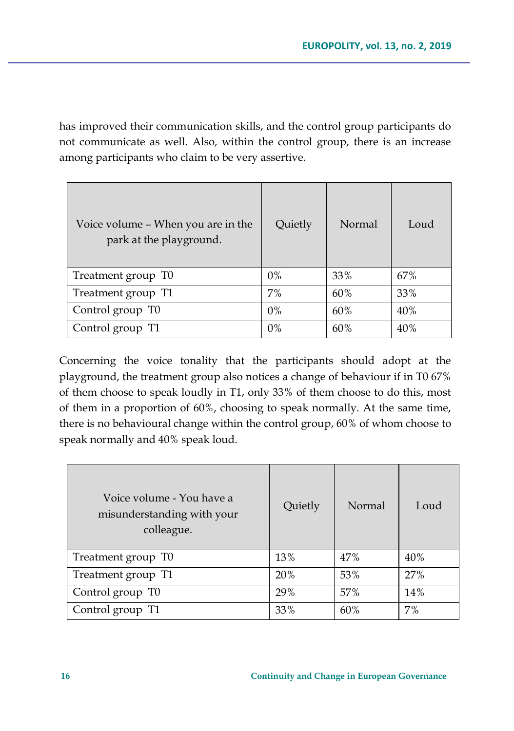has improved their communication skills, and the control group participants do not communicate as well. Also, within the control group, there is an increase among participants who claim to be very assertive.

| Voice volume – When you are in the<br>park at the playground. | Quietly | Normal | Loud |
|---------------------------------------------------------------|---------|--------|------|
| Treatment group T0                                            | $0\%$   | 33%    | 67%  |
| Treatment group T1                                            | 7%      | 60%    | 33%  |
| Control group T0                                              | $0\%$   | 60%    | 40%  |
| Control group T1                                              | $0\%$   | 60%    | 40%  |

Concerning the voice tonality that the participants should adopt at the playground, the treatment group also notices a change of behaviour if in T0 67% of them choose to speak loudly in T1, only 33% of them choose to do this, most of them in a proportion of 60%, choosing to speak normally. At the same time, there is no behavioural change within the control group, 60% of whom choose to speak normally and 40% speak loud.

| Voice volume - You have a<br>misunderstanding with your<br>colleague. | Quietly | Normal | Loud |
|-----------------------------------------------------------------------|---------|--------|------|
| Treatment group T0                                                    | 13%     | 47%    | 40%  |
| Treatment group T1                                                    | 20%     | 53%    | 27%  |
| Control group T0                                                      | 29%     | 57%    | 14%  |
| Control group T1                                                      | 33%     | 60%    | 7%   |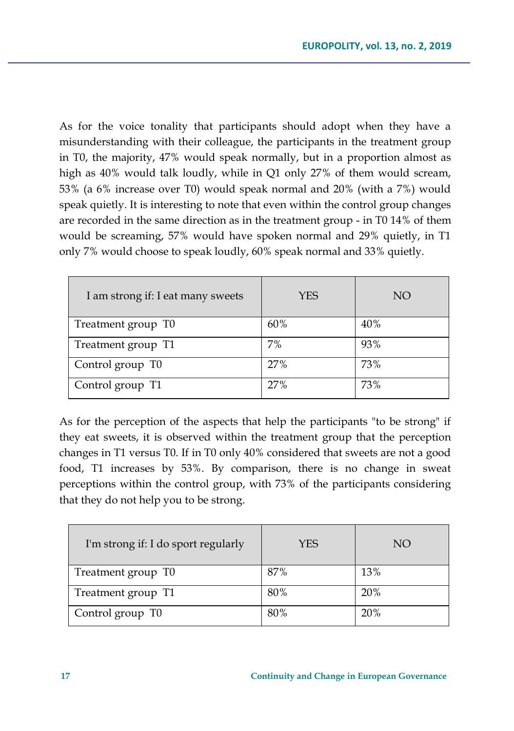As for the voice tonality that participants should adopt when they have a misunderstanding with their colleague, the participants in the treatment group in T0, the majority, 47% would speak normally, but in a proportion almost as high as 40% would talk loudly, while in Q1 only 27% of them would scream, 53% (a 6% increase over T0) would speak normal and 20% (with a 7%) would speak quietly. It is interesting to note that even within the control group changes are recorded in the same direction as in the treatment group - in T0 14% of them would be screaming, 57% would have spoken normal and 29% quietly, in T1 only 7% would choose to speak loudly, 60% speak normal and 33% quietly.

| I am strong if: I eat many sweets | <b>YES</b> | NO  |
|-----------------------------------|------------|-----|
| Treatment group T0                | 60%        | 40% |
| Treatment group T1                | 7%         | 93% |
| Control group T0                  | 27%        | 73% |
| Control group T1                  | 27%        | 73% |

As for the perception of the aspects that help the participants "to be strong" if they eat sweets, it is observed within the treatment group that the perception changes in T1 versus T0. If in T0 only 40% considered that sweets are not a good food, T1 increases by 53%. By comparison, there is no change in sweat perceptions within the control group, with 73% of the participants considering that they do not help you to be strong.

| I'm strong if: I do sport regularly | <b>YES</b> | NO  |
|-------------------------------------|------------|-----|
| Treatment group T0                  | 87%        | 13% |
| Treatment group T1                  | 80%        | 20% |
| Control group T0                    | 80%        | 20% |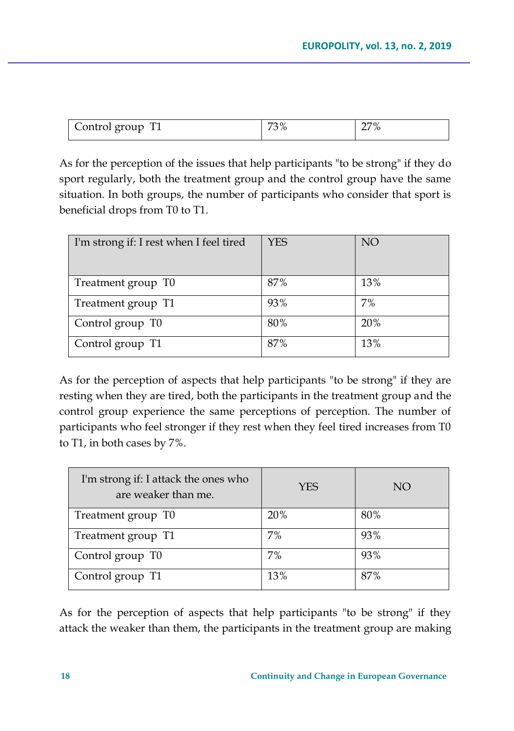| Control group T1 | 73% | 27% |
|------------------|-----|-----|
|                  |     |     |

As for the perception of the issues that help participants "to be strong" if they do sport regularly, both the treatment group and the control group have the same situation. In both groups, the number of participants who consider that sport is beneficial drops from T0 to T1.

| I'm strong if: I rest when I feel tired | <b>YES</b> | NO <sub>1</sub> |
|-----------------------------------------|------------|-----------------|
| Treatment group T0                      | 87%        | 13%             |
| Treatment group T1                      | 93%        | 7%              |
| Control group T0                        | 80%        | 20%             |
| Control group T1                        | 87%        | 13%             |

As for the perception of aspects that help participants "to be strong" if they are resting when they are tired, both the participants in the treatment group and the control group experience the same perceptions of perception. The number of participants who feel stronger if they rest when they feel tired increases from T0 to T1, in both cases by 7%.

| I'm strong if: I attack the ones who<br>are weaker than me. | YES | NO  |
|-------------------------------------------------------------|-----|-----|
| Treatment group T0                                          | 20% | 80% |
| Treatment group T1                                          | 7%  | 93% |
| Control group T0                                            | 7%  | 93% |
| Control group T1                                            | 13% | 87% |

As for the perception of aspects that help participants "to be strong" if they attack the weaker than them, the participants in the treatment group are making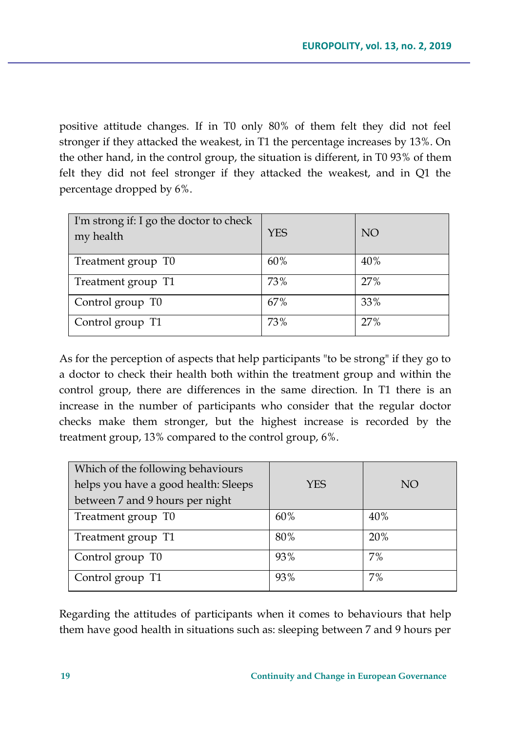positive attitude changes. If in T0 only 80% of them felt they did not feel stronger if they attacked the weakest, in T1 the percentage increases by 13%. On the other hand, in the control group, the situation is different, in T0 93% of them felt they did not feel stronger if they attacked the weakest, and in Q1 the percentage dropped by 6%.

| I'm strong if: I go the doctor to check<br>my health | <b>YES</b> | NO <sub>1</sub> |
|------------------------------------------------------|------------|-----------------|
| Treatment group T0                                   | 60%        | 40%             |
| Treatment group T1                                   | 73%        | 27%             |
| Control group T0                                     | 67%        | 33%             |
| Control group T1                                     | 73%        | 27%             |

As for the perception of aspects that help participants "to be strong" if they go to a doctor to check their health both within the treatment group and within the control group, there are differences in the same direction. In T1 there is an increase in the number of participants who consider that the regular doctor checks make them stronger, but the highest increase is recorded by the treatment group, 13% compared to the control group, 6%.

| Which of the following behaviours    |            |     |
|--------------------------------------|------------|-----|
| helps you have a good health: Sleeps | <b>YES</b> | NΟ  |
| between 7 and 9 hours per night      |            |     |
| Treatment group T0                   | 60%        | 40% |
| Treatment group T1                   | 80%        | 20% |
| Control group T0                     | 93%        | 7%  |
| Control group T1                     | 93%        | 7%  |

Regarding the attitudes of participants when it comes to behaviours that help them have good health in situations such as: sleeping between 7 and 9 hours per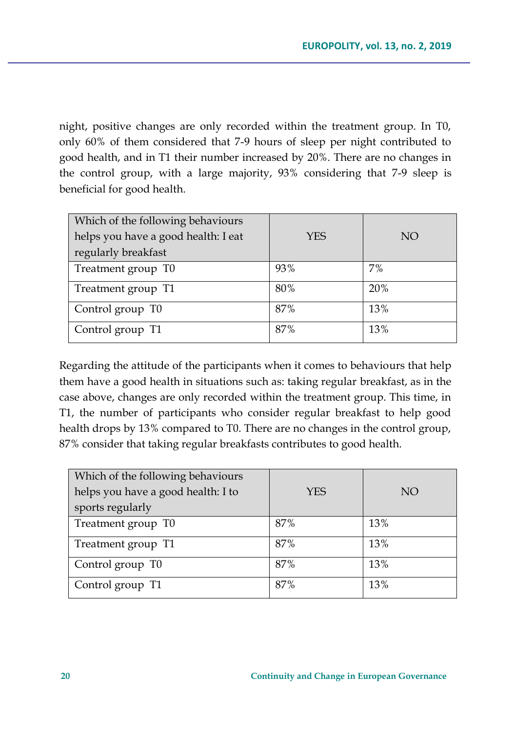night, positive changes are only recorded within the treatment group. In T0, only 60% of them considered that 7-9 hours of sleep per night contributed to good health, and in T1 their number increased by 20%. There are no changes in the control group, with a large majority, 93% considering that 7-9 sleep is beneficial for good health.

| Which of the following behaviours<br>helps you have a good health: I eat<br>regularly breakfast | YES | NO. |
|-------------------------------------------------------------------------------------------------|-----|-----|
| Treatment group T0                                                                              | 93% | 7%  |
| Treatment group T1                                                                              | 80% | 20% |
| Control group T0                                                                                | 87% | 13% |
| Control group T1                                                                                | 87% | 13% |

Regarding the attitude of the participants when it comes to behaviours that help them have a good health in situations such as: taking regular breakfast, as in the case above, changes are only recorded within the treatment group. This time, in T1, the number of participants who consider regular breakfast to help good health drops by 13% compared to T0. There are no changes in the control group, 87% consider that taking regular breakfasts contributes to good health.

| Which of the following behaviours  |            |     |
|------------------------------------|------------|-----|
| helps you have a good health: I to | <b>YES</b> | NO  |
| sports regularly                   |            |     |
| Treatment group T0                 | 87%        | 13% |
| Treatment group T1                 | 87%        | 13% |
| Control group T0                   | 87%        | 13% |
| Control group T1                   | 87%        | 13% |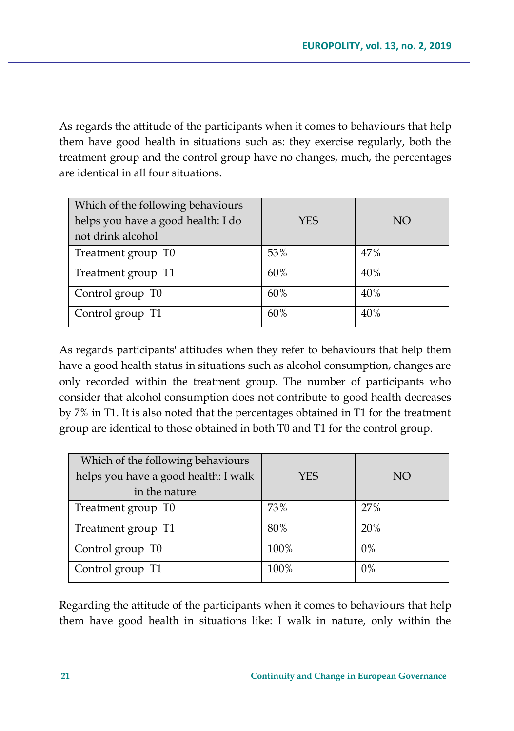As regards the attitude of the participants when it comes to behaviours that help them have good health in situations such as: they exercise regularly, both the treatment group and the control group have no changes, much, the percentages are identical in all four situations.

| Which of the following behaviours<br>helps you have a good health: I do<br>not drink alcohol | <b>YES</b> | NO. |
|----------------------------------------------------------------------------------------------|------------|-----|
| Treatment group T0                                                                           | 53%        | 47% |
| Treatment group T1                                                                           | 60%        | 40% |
| Control group T0                                                                             | 60%        | 40% |
| Control group T1                                                                             | 60%        | 40% |

As regards participants' attitudes when they refer to behaviours that help them have a good health status in situations such as alcohol consumption, changes are only recorded within the treatment group. The number of participants who consider that alcohol consumption does not contribute to good health decreases by 7% in T1. It is also noted that the percentages obtained in T1 for the treatment group are identical to those obtained in both T0 and T1 for the control group.

| Which of the following behaviours    |            |       |
|--------------------------------------|------------|-------|
| helps you have a good health: I walk | <b>YES</b> | NO.   |
| in the nature                        |            |       |
| Treatment group T0                   | 73%        | 27%   |
| Treatment group T1                   | 80%        | 20%   |
| Control group T0                     | 100%       | $0\%$ |
| Control group T1                     | 100%       | $0\%$ |

Regarding the attitude of the participants when it comes to behaviours that help them have good health in situations like: I walk in nature, only within the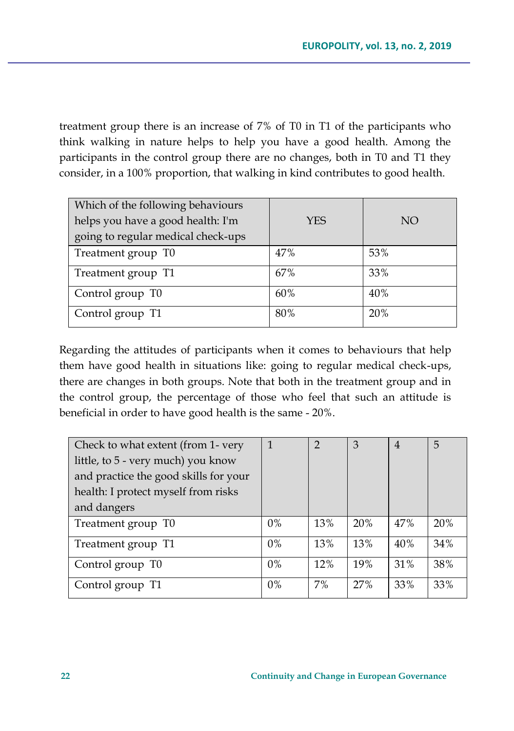treatment group there is an increase of 7% of T0 in T1 of the participants who think walking in nature helps to help you have a good health. Among the participants in the control group there are no changes, both in T0 and T1 they consider, in a 100% proportion, that walking in kind contributes to good health.

| Which of the following behaviours<br>helps you have a good health: I'm<br>going to regular medical check-ups | YES | NO. |
|--------------------------------------------------------------------------------------------------------------|-----|-----|
| Treatment group T0                                                                                           | 47% | 53% |
| Treatment group T1                                                                                           | 67% | 33% |
| Control group T0                                                                                             | 60% | 40% |
| Control group T1                                                                                             | 80% | 20% |

Regarding the attitudes of participants when it comes to behaviours that help them have good health in situations like: going to regular medical check-ups, there are changes in both groups. Note that both in the treatment group and in the control group, the percentage of those who feel that such an attitude is beneficial in order to have good health is the same - 20%.

| Check to what extent (from 1- very    |       | $\mathfrak{D}$ | 3   | $\overline{4}$ | 5   |
|---------------------------------------|-------|----------------|-----|----------------|-----|
| little, to 5 - very much) you know    |       |                |     |                |     |
| and practice the good skills for your |       |                |     |                |     |
| health: I protect myself from risks   |       |                |     |                |     |
| and dangers                           |       |                |     |                |     |
| Treatment group T0                    | $0\%$ | 13%            | 20% | 47%            | 20% |
| Treatment group T1                    | $0\%$ | 13%            | 13% | 40%            | 34% |
| Control group T0                      | $0\%$ | 12%            | 19% | 31%            | 38% |
| Control group T1                      | $0\%$ | $7\%$          | 27% | 33%            | 33% |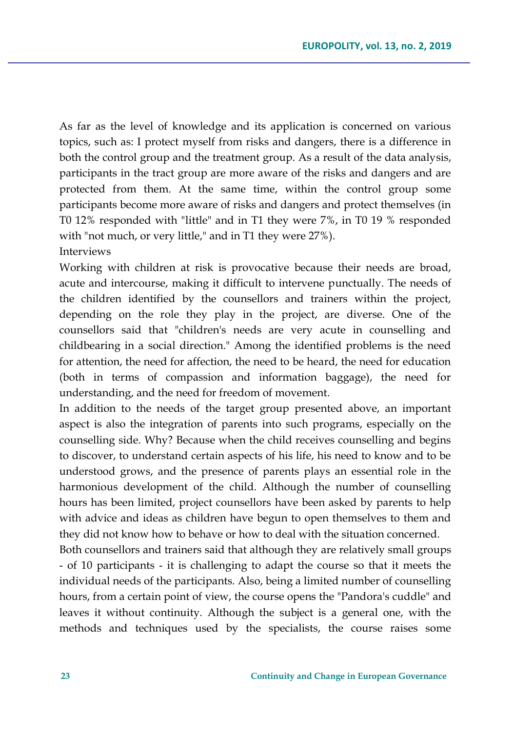As far as the level of knowledge and its application is concerned on various topics, such as: I protect myself from risks and dangers, there is a difference in both the control group and the treatment group. As a result of the data analysis, participants in the tract group are more aware of the risks and dangers and are protected from them. At the same time, within the control group some participants become more aware of risks and dangers and protect themselves (in T0 12% responded with "little" and in T1 they were 7%, in T0 19 % responded with "not much, or very little," and in T1 they were 27%).

Interviews

Working with children at risk is provocative because their needs are broad, acute and intercourse, making it difficult to intervene punctually. The needs of the children identified by the counsellors and trainers within the project, depending on the role they play in the project, are diverse. One of the counsellors said that "children's needs are very acute in counselling and childbearing in a social direction." Among the identified problems is the need for attention, the need for affection, the need to be heard, the need for education (both in terms of compassion and information baggage), the need for understanding, and the need for freedom of movement.

In addition to the needs of the target group presented above, an important aspect is also the integration of parents into such programs, especially on the counselling side. Why? Because when the child receives counselling and begins to discover, to understand certain aspects of his life, his need to know and to be understood grows, and the presence of parents plays an essential role in the harmonious development of the child. Although the number of counselling hours has been limited, project counsellors have been asked by parents to help with advice and ideas as children have begun to open themselves to them and they did not know how to behave or how to deal with the situation concerned.

Both counsellors and trainers said that although they are relatively small groups - of 10 participants - it is challenging to adapt the course so that it meets the individual needs of the participants. Also, being a limited number of counselling hours, from a certain point of view, the course opens the "Pandora's cuddle" and leaves it without continuity. Although the subject is a general one, with the methods and techniques used by the specialists, the course raises some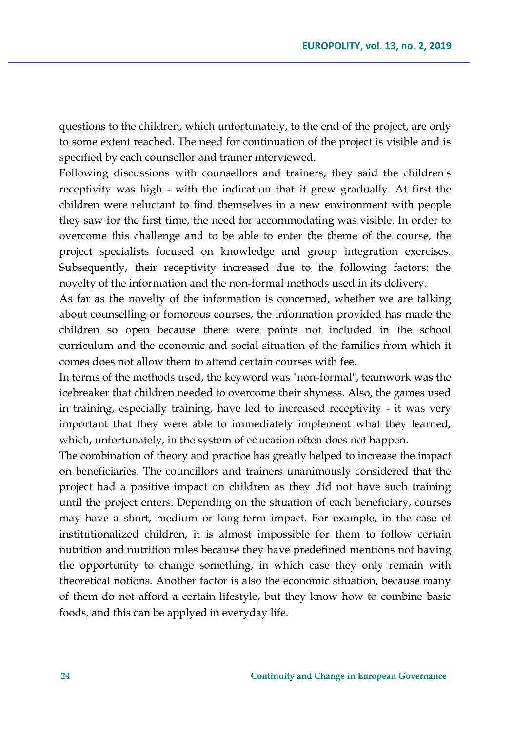questions to the children, which unfortunately, to the end of the project, are only to some extent reached. The need for continuation of the project is visible and is specified by each counsellor and trainer interviewed.

Following discussions with counsellors and trainers, they said the children's receptivity was high - with the indication that it grew gradually. At first the children were reluctant to find themselves in a new environment with people they saw for the first time, the need for accommodating was visible. In order to overcome this challenge and to be able to enter the theme of the course, the project specialists focused on knowledge and group integration exercises. Subsequently, their receptivity increased due to the following factors: the novelty of the information and the non-formal methods used in its delivery.

As far as the novelty of the information is concerned, whether we are talking about counselling or fomorous courses, the information provided has made the children so open because there were points not included in the school curriculum and the economic and social situation of the families from which it comes does not allow them to attend certain courses with fee.

In terms of the methods used, the keyword was "non-formal", teamwork was the icebreaker that children needed to overcome their shyness. Also, the games used in training, especially training, have led to increased receptivity - it was very important that they were able to immediately implement what they learned, which, unfortunately, in the system of education often does not happen.

The combination of theory and practice has greatly helped to increase the impact on beneficiaries. The councillors and trainers unanimously considered that the project had a positive impact on children as they did not have such training until the project enters. Depending on the situation of each beneficiary, courses may have a short, medium or long-term impact. For example, in the case of institutionalized children, it is almost impossible for them to follow certain nutrition and nutrition rules because they have predefined mentions not having the opportunity to change something, in which case they only remain with theoretical notions. Another factor is also the economic situation, because many of them do not afford a certain lifestyle, but they know how to combine basic foods, and this can be applyed in everyday life.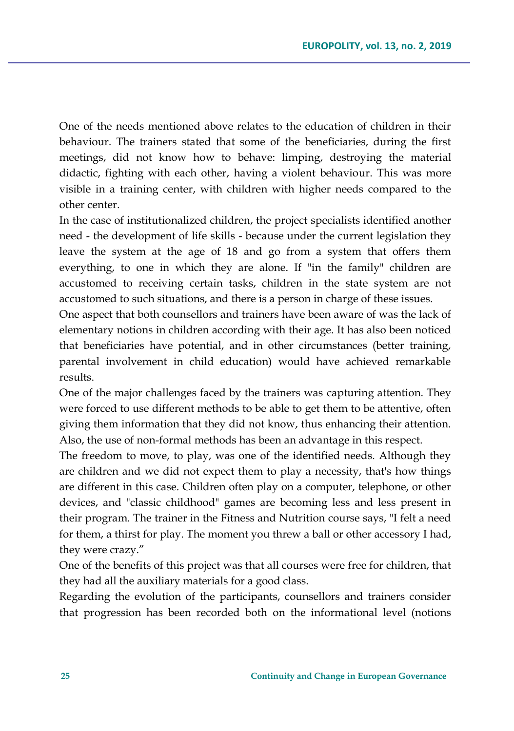One of the needs mentioned above relates to the education of children in their behaviour. The trainers stated that some of the beneficiaries, during the first meetings, did not know how to behave: limping, destroying the material didactic, fighting with each other, having a violent behaviour. This was more visible in a training center, with children with higher needs compared to the other center.

In the case of institutionalized children, the project specialists identified another need - the development of life skills - because under the current legislation they leave the system at the age of 18 and go from a system that offers them everything, to one in which they are alone. If "in the family" children are accustomed to receiving certain tasks, children in the state system are not accustomed to such situations, and there is a person in charge of these issues.

One aspect that both counsellors and trainers have been aware of was the lack of elementary notions in children according with their age. It has also been noticed that beneficiaries have potential, and in other circumstances (better training, parental involvement in child education) would have achieved remarkable results.

One of the major challenges faced by the trainers was capturing attention. They were forced to use different methods to be able to get them to be attentive, often giving them information that they did not know, thus enhancing their attention. Also, the use of non-formal methods has been an advantage in this respect.

The freedom to move, to play, was one of the identified needs. Although they are children and we did not expect them to play a necessity, that's how things are different in this case. Children often play on a computer, telephone, or other devices, and "classic childhood" games are becoming less and less present in their program. The trainer in the Fitness and Nutrition course says, "I felt a need for them, a thirst for play. The moment you threw a ball or other accessory I had, they were crazy."

One of the benefits of this project was that all courses were free for children, that they had all the auxiliary materials for a good class.

Regarding the evolution of the participants, counsellors and trainers consider that progression has been recorded both on the informational level (notions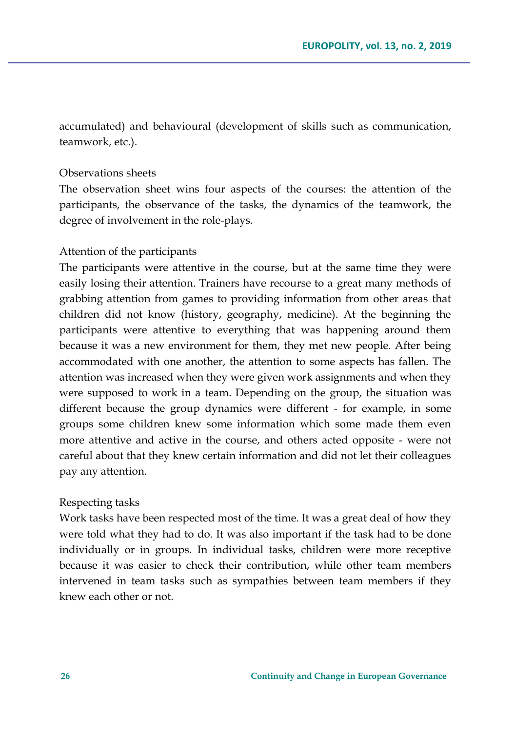accumulated) and behavioural (development of skills such as communication, teamwork, etc.).

#### Observations sheets

The observation sheet wins four aspects of the courses: the attention of the participants, the observance of the tasks, the dynamics of the teamwork, the degree of involvement in the role-plays.

#### Attention of the participants

The participants were attentive in the course, but at the same time they were easily losing their attention. Trainers have recourse to a great many methods of grabbing attention from games to providing information from other areas that children did not know (history, geography, medicine). At the beginning the participants were attentive to everything that was happening around them because it was a new environment for them, they met new people. After being accommodated with one another, the attention to some aspects has fallen. The attention was increased when they were given work assignments and when they were supposed to work in a team. Depending on the group, the situation was different because the group dynamics were different - for example, in some groups some children knew some information which some made them even more attentive and active in the course, and others acted opposite - were not careful about that they knew certain information and did not let their colleagues pay any attention.

#### Respecting tasks

Work tasks have been respected most of the time. It was a great deal of how they were told what they had to do. It was also important if the task had to be done individually or in groups. In individual tasks, children were more receptive because it was easier to check their contribution, while other team members intervened in team tasks such as sympathies between team members if they knew each other or not.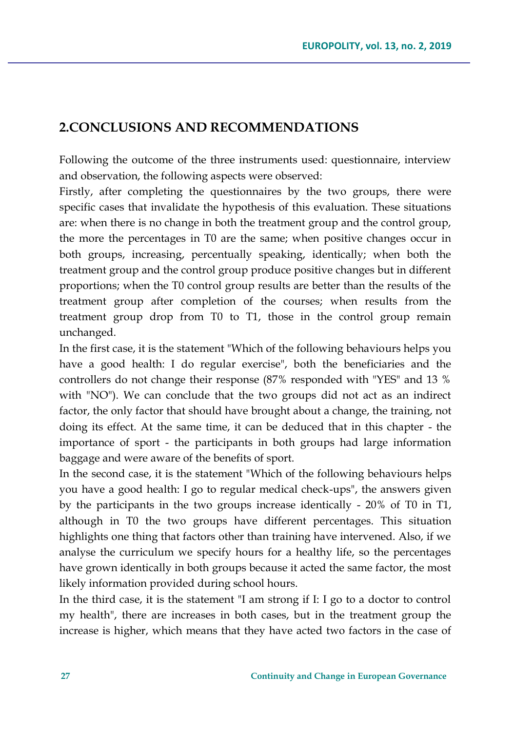# **2.CONCLUSIONS AND RECOMMENDATIONS**

Following the outcome of the three instruments used: questionnaire, interview and observation, the following aspects were observed:

Firstly, after completing the questionnaires by the two groups, there were specific cases that invalidate the hypothesis of this evaluation. These situations are: when there is no change in both the treatment group and the control group, the more the percentages in T0 are the same; when positive changes occur in both groups, increasing, percentually speaking, identically; when both the treatment group and the control group produce positive changes but in different proportions; when the T0 control group results are better than the results of the treatment group after completion of the courses; when results from the treatment group drop from T0 to T1, those in the control group remain unchanged.

In the first case, it is the statement "Which of the following behaviours helps you have a good health: I do regular exercise", both the beneficiaries and the controllers do not change their response (87% responded with "YES" and 13 % with "NO"). We can conclude that the two groups did not act as an indirect factor, the only factor that should have brought about a change, the training, not doing its effect. At the same time, it can be deduced that in this chapter - the importance of sport - the participants in both groups had large information baggage and were aware of the benefits of sport.

In the second case, it is the statement "Which of the following behaviours helps you have a good health: I go to regular medical check-ups", the answers given by the participants in the two groups increase identically - 20% of T0 in T1, although in T0 the two groups have different percentages. This situation highlights one thing that factors other than training have intervened. Also, if we analyse the curriculum we specify hours for a healthy life, so the percentages have grown identically in both groups because it acted the same factor, the most likely information provided during school hours.

In the third case, it is the statement "I am strong if I: I go to a doctor to control my health", there are increases in both cases, but in the treatment group the increase is higher, which means that they have acted two factors in the case of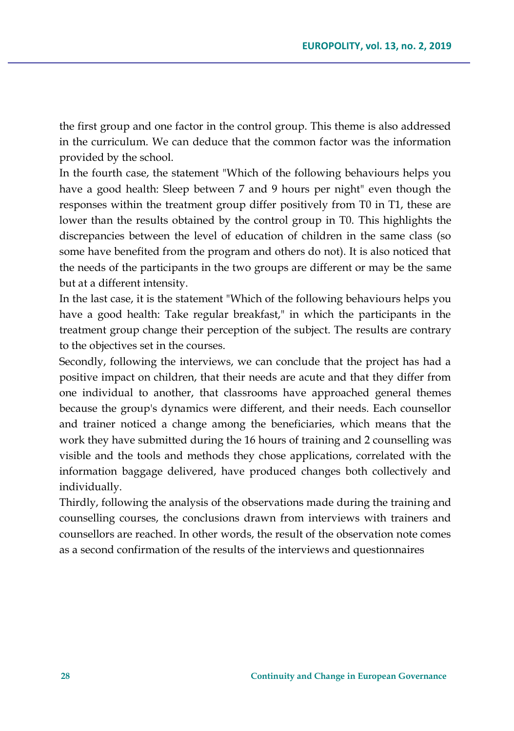the first group and one factor in the control group. This theme is also addressed in the curriculum. We can deduce that the common factor was the information provided by the school.

In the fourth case, the statement "Which of the following behaviours helps you have a good health: Sleep between 7 and 9 hours per night" even though the responses within the treatment group differ positively from T0 in T1, these are lower than the results obtained by the control group in T0. This highlights the discrepancies between the level of education of children in the same class (so some have benefited from the program and others do not). It is also noticed that the needs of the participants in the two groups are different or may be the same but at a different intensity.

In the last case, it is the statement "Which of the following behaviours helps you have a good health: Take regular breakfast," in which the participants in the treatment group change their perception of the subject. The results are contrary to the objectives set in the courses.

Secondly, following the interviews, we can conclude that the project has had a positive impact on children, that their needs are acute and that they differ from one individual to another, that classrooms have approached general themes because the group's dynamics were different, and their needs. Each counsellor and trainer noticed a change among the beneficiaries, which means that the work they have submitted during the 16 hours of training and 2 counselling was visible and the tools and methods they chose applications, correlated with the information baggage delivered, have produced changes both collectively and individually.

Thirdly, following the analysis of the observations made during the training and counselling courses, the conclusions drawn from interviews with trainers and counsellors are reached. In other words, the result of the observation note comes as a second confirmation of the results of the interviews and questionnaires